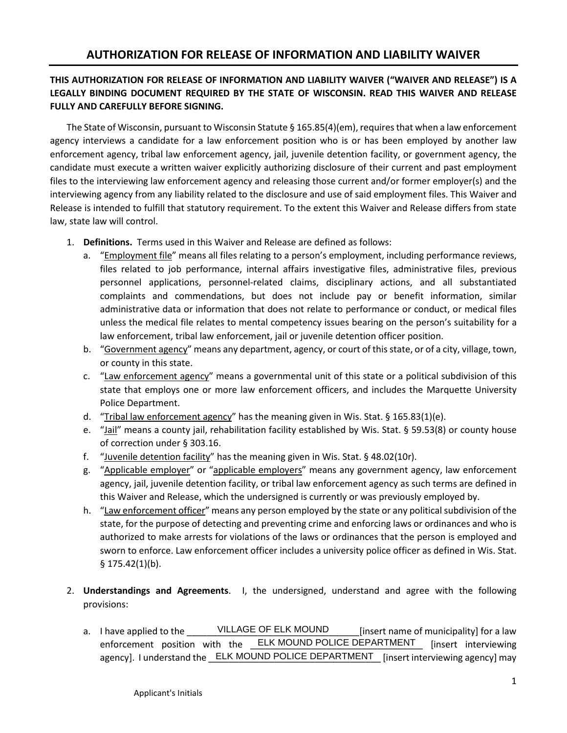## **THIS AUTHORIZATION FOR RELEASE OF INFORMATION AND LIABILITY WAIVER ("WAIVER AND RELEASE") IS A LEGALLY BINDING DOCUMENT REQUIRED BY THE STATE OF WISCONSIN. READ THIS WAIVER AND RELEASE FULLY AND CAREFULLY BEFORE SIGNING.**

The State of Wisconsin, pursuant to Wisconsin Statute § 165.85(4)(em), requires that when a law enforcement agency interviews a candidate for a law enforcement position who is or has been employed by another law enforcement agency, tribal law enforcement agency, jail, juvenile detention facility, or government agency, the candidate must execute a written waiver explicitly authorizing disclosure of their current and past employment files to the interviewing law enforcement agency and releasing those current and/or former employer(s) and the interviewing agency from any liability related to the disclosure and use of said employment files. This Waiver and Release is intended to fulfill that statutory requirement. To the extent this Waiver and Release differs from state law, state law will control.

- 1. **Definitions.** Terms used in this Waiver and Release are defined as follows:
	- a. "Employment file" means all files relating to a person's employment, including performance reviews, files related to job performance, internal affairs investigative files, administrative files, previous personnel applications, personnel-related claims, disciplinary actions, and all substantiated complaints and commendations, but does not include pay or benefit information, similar administrative data or information that does not relate to performance or conduct, or medical files unless the medical file relates to mental competency issues bearing on the person's suitability for a law enforcement, tribal law enforcement, jail or juvenile detention officer position.
	- b. "Government agency" means any department, agency, or court of this state, or of a city, village, town, or county in this state.
	- c. "Law enforcement agency" means a governmental unit of this state or a political subdivision of this state that employs one or more law enforcement officers, and includes the Marquette University Police Department.
	- d. "Tribal law enforcement agency" has the meaning given in Wis. Stat.  $\S 165.83(1)(e)$ .
	- e. "Jail" means a county jail, rehabilitation facility established by Wis. Stat. § 59.53(8) or county house of correction under § 303.16.
	- f. "Juvenile detention facility" has the meaning given in Wis. Stat. § 48.02(10r).
	- g. "Applicable employer" or "applicable employers" means any government agency, law enforcement agency, jail, juvenile detention facility, or tribal law enforcement agency as such terms are defined in this Waiver and Release, which the undersigned is currently or was previously employed by.
	- h. "Law enforcement officer" means any person employed by the state or any political subdivision of the state, for the purpose of detecting and preventing crime and enforcing laws or ordinances and who is authorized to make arrests for violations of the laws or ordinances that the person is employed and sworn to enforce. Law enforcement officer includes a university police officer as defined in Wis. Stat. § 175.42(1)(b).
- 2. **Understandings and Agreements**. I, the undersigned, understand and agree with the following provisions:
	- a. I have applied to the **NILLAGE OF ELK MOUND** [insert name of municipality] for a law enforcement position with the **\_ELK MOUND POLICE DEPARTMENT** [insert interviewing agency]. I understand the \_\_ELK MOUND POLICE DEPARTMENT\_ [insert interviewing agency] may VILLAGE OF ELK MOUND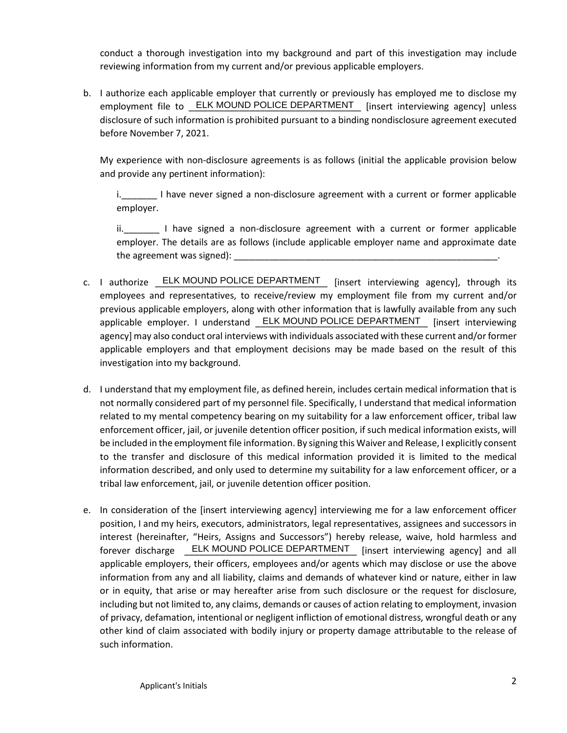conduct a thorough investigation into my background and part of this investigation may include reviewing information from my current and/or previous applicable employers.

b. I authorize each applicable employer that currently or previously has employed me to disclose my employment file to **ELK MOUND POLICE DEPARTMENT** [insert interviewing agency] unless disclosure of such information is prohibited pursuant to a binding nondisclosure agreement executed before November 7, 2021.

My experience with non-disclosure agreements is as follows (initial the applicable provision below and provide any pertinent information):

i. I have never signed a non-disclosure agreement with a current or former applicable employer.

ii. I have signed a non-disclosure agreement with a current or former applicable employer. The details are as follows (include applicable employer name and approximate date the agreement was signed):

- c. I authorize **ELK MOUND POLICE DEPARTMENT** [insert interviewing agency], through its employees and representatives, to receive/review my employment file from my current and/or previous applicable employers, along with other information that is lawfully available from any such applicable employer. I understand **ELK MOUND POLICE DEPARTMENT** [insert interviewing agency] may also conduct oral interviews with individuals associated with these current and/or former applicable employers and that employment decisions may be made based on the result of this investigation into my background.
- d. I understand that my employment file, as defined herein, includes certain medical information that is not normally considered part of my personnel file. Specifically, I understand that medical information related to my mental competency bearing on my suitability for a law enforcement officer, tribal law enforcement officer, jail, or juvenile detention officer position, if such medical information exists, will be included in the employment file information. By signing this Waiver and Release, I explicitly consent to the transfer and disclosure of this medical information provided it is limited to the medical information described, and only used to determine my suitability for a law enforcement officer, or a tribal law enforcement, jail, or juvenile detention officer position.
- e. In consideration of the [insert interviewing agency] interviewing me for a law enforcement officer position, I and my heirs, executors, administrators, legal representatives, assignees and successors in interest (hereinafter, "Heirs, Assigns and Successors") hereby release, waive, hold harmless and forever discharge LELK MOUND POLICE DEPARTMENT [insert interviewing agency] and all applicable employers, their officers, employees and/or agents which may disclose or use the above information from any and all liability, claims and demands of whatever kind or nature, either in law or in equity, that arise or may hereafter arise from such disclosure or the request for disclosure, including but not limited to, any claims, demands or causes of action relating to employment, invasion of privacy, defamation, intentional or negligent infliction of emotional distress, wrongful death or any other kind of claim associated with bodily injury or property damage attributable to the release of such information.